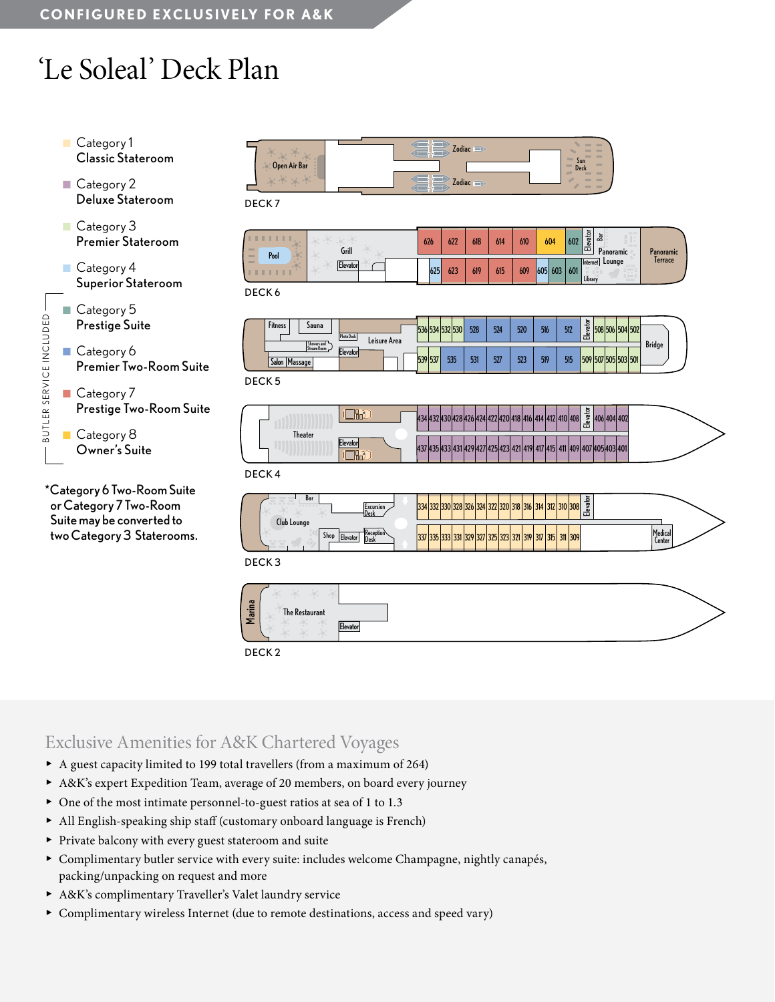# 'Le Soleal' Deck Plan



\*Category 6 Two-Room Suite or Category 7 Two-Room Suite may be converted to two Category 3 Staterooms.

| Open Air Bar<br>$10^{11}$ , $10^{11}$ , $10^{11}$ | Zodiac <b>supplier</b><br>त ⊰ा<br>æn<br>$Z$ odiac<br>പ പോ | $\sim$<br>$\sim$<br>$\sim$<br>$\sim$<br>Sun<br>$\sim$<br>Deck<br><b>THE R</b><br><b>TELEVIS</b> |
|---------------------------------------------------|-----------------------------------------------------------|-------------------------------------------------------------------------------------------------|
|                                                   |                                                           |                                                                                                 |

DECK 7

| $\sim$ $\sim$ .<br>m<br>Pool<br><b>STATE</b><br><b>COLLE</b> | Grill<br>Elevator | 626 | 622 | 618 | 614 | 610 | 604     | 602 | $\frac{\text{evadv}}{\text{Bar}}$<br>$F = F$<br>$1 - 111$<br>÷<br>Panoramic | Panoramic |
|--------------------------------------------------------------|-------------------|-----|-----|-----|-----|-----|---------|-----|-----------------------------------------------------------------------------|-----------|
|                                                              |                   | 625 | 623 | 619 | 615 | 609 | 605 603 | 601 | Lounge<br><b>Internet</b><br>÷.<br>Library                                  | lerrace   |

DECK 6

| <b>Fitness</b><br><b>Sauna</b><br>Showers and | Photo Desk<br>Leisure Area | ica/ica/icagican<br>טכנו<br><b>JJ41</b> | IJJZ. | 528 | 524 | 520 | 516 | 512 | -흄<br>õ<br>՟ | 508 506 504 502 | <b>Bridge</b> |
|-----------------------------------------------|----------------------------|-----------------------------------------|-------|-----|-----|-----|-----|-----|--------------|-----------------|---------------|
| Stream Room<br>Salon<br><b>Massage</b>        | Elevator                   | 539<br>537                              | 535   | 531 | 527 | 523 | 519 | 515 | 509          | 507 505 503 501 |               |

DECK 5

|         |          | ᇽ<br>$\mathbf{A}$<br>412 410 408<br><u> 17 די דבדן טבידן טבידן טכידן בעידן דע</u><br>$\tilde{\boldsymbol{\omega}}$<br>$\mathbf{L}$ |  |
|---------|----------|------------------------------------------------------------------------------------------------------------------------------------|--|
| Theater | Elevator | 437 435 433 431 429 427 425 423 421 419 417 415 411 409 407 405 403 401                                                            |  |
|         |          |                                                                                                                                    |  |

DECK 4

| Bar<br>RRRRR<br><b>Lxcursion</b><br>IVes<br>Club Lounge      | ⊷<br>exa<br>1332 330 328 326 324 322 320 318 316 314 312<br>פכו<br>1310 308                                 |                          |
|--------------------------------------------------------------|-------------------------------------------------------------------------------------------------------------|--------------------------|
| <b>I Keception</b><br><b>Shor</b><br><b>evato.</b><br>'Uesi. | : loop loop i<br>311 309<br><b>DOA</b><br>.JLI<br><b><i>Charles Company</i></b><br>,,,,,,,,,<br>175 July 18 | Medical<br><b>Center</b> |

DECK 3



DECK 2

### Exclusive Amenities for A&K Chartered Voyages

- ▶ A guest capacity limited to 199 total travellers (from a maximum of 264)
- ▶ A&K's expert Expedition Team, average of 20 members, on board every journey
- ▶ One of the most intimate personnel-to-guest ratios at sea of 1 to 1.3
- ▶ All English-speaking ship staff (customary onboard language is French)
- ▶ Private balcony with every guest stateroom and suite
- ▶ Complimentary butler service with every suite: includes welcome Champagne, nightly canapés, packing/unpacking on request and more
- ▶ A&K's complimentary Traveller's Valet laundry service
- ▶ Complimentary wireless Internet (due to remote destinations, access and speed vary)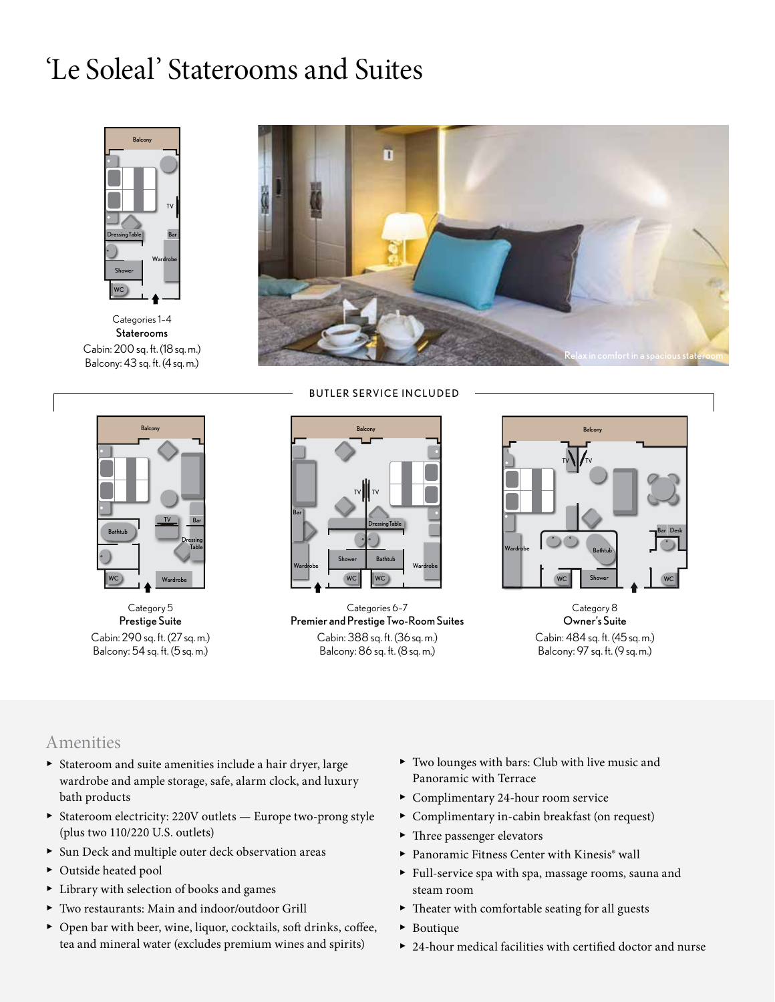## 'Le Soleal' Staterooms and Suites



Categories 1–4 Staterooms Cabin: 200 sq. ft. (18 sq. m.) Balcony: 43 sq. ft. (4 sq. m.)





Category 5 Prestige Suite Cabin: 290 sq. ft. (27 sq. m.) Balcony: 54 sq. ft. (5 sq. m.)



Categories 6–7 Premier and Prestige Two-Room Suites Cabin: 388 sq. ft. (36 sq. m.) Balcony: 86 sq. ft. (8 sq. m.)



Category 8 Owner's Suite Cabin: 484 sq. ft. (45 sq. m.) Balcony: 97 sq. ft. (9 sq. m.)

#### Amenities

- ▶ Stateroom and suite amenities include a hair dryer, large wardrobe and ample storage, safe, alarm clock, and luxury bath products
- ▶ Stateroom electricity: 220V outlets Europe two-prong style (plus two 110/220 U.S. outlets)
- ▶ Sun Deck and multiple outer deck observation areas
- ▶ Outside heated pool
- ▶ Library with selection of books and games
- ▶ Two restaurants: Main and indoor/outdoor Grill
- ▶ Open bar with beer, wine, liquor, cocktails, soft drinks, coffee, tea and mineral water (excludes premium wines and spirits)
- ▶ Two lounges with bars: Club with live music and Panoramic with Terrace
- ▶ Complimentary 24-hour room service
- ▶ Complimentary in-cabin breakfast (on request)
- ▶ Three passenger elevators
- ▶ Panoramic Fitness Center with Kinesis® wall
- ▶ Full-service spa with spa, massage rooms, sauna and steam room
- ▶ Theater with comfortable seating for all guests
- ▶ Boutique
- ▶ 24-hour medical facilities with certified doctor and nurse